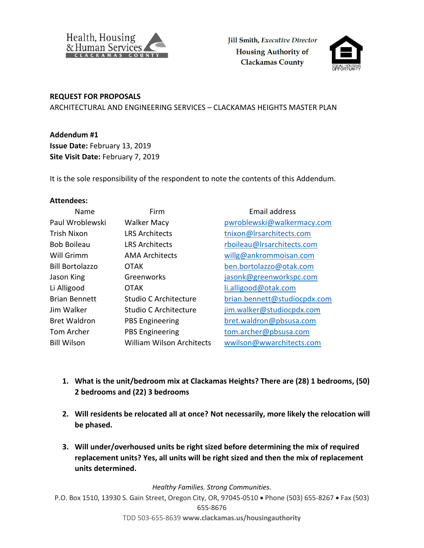

Jill Smith, Executive Director **Housing Authority of Clackamas County** 



## **REQUEST FOR PROPOSALS**

ARCHITECTURAL AND ENGINEERING SERVICES – CLACKAMAS HEIGHTS MASTER PLAN

## **Addendum #1**

**Issue Date:** February 13, 2019 **Site Visit Date:** February 7, 2019

It is the sole responsibility of the respondent to note the contents of this Addendum.

## **Attendees:**

| Name                   | Firm                             | <b>Email address</b>         |
|------------------------|----------------------------------|------------------------------|
| Paul Wroblewski        | <b>Walker Macy</b>               | pwroblewski@walkermacy.com   |
| <b>Trish Nixon</b>     | <b>LRS Architects</b>            | tnixon@Irsarchitects.com     |
| <b>Bob Boileau</b>     | <b>LRS Architects</b>            | rboileau@Irsarchitects.com   |
| Will Grimm             | <b>AMA Architects</b>            | willg@ankrommoisan.com       |
| <b>Bill Bortolazzo</b> | <b>OTAK</b>                      | ben.bortolazzo@otak.com      |
| Jason King             | Greenworks                       | jasonk@greenworkspc.com      |
| Li Alligood            | <b>OTAK</b>                      | li.alligood@otak.com         |
| <b>Brian Bennett</b>   | Studio C Architecture            | brian.bennett@studiocpdx.com |
| Jim Walker             | Studio C Architecture            | jim.walker@studiocpdx.com    |
| <b>Bret Waldron</b>    | <b>PBS Engineering</b>           | bret.waldron@pbsusa.com      |
| Tom Archer             | <b>PBS Engineering</b>           | tom.archer@pbsusa.com        |
| <b>Bill Wilson</b>     | <b>William Wilson Architects</b> | wwilson@wwarchitects.com     |

- **1. What is the unit/bedroom mix at Clackamas Heights? There are (28) 1 bedrooms, (50) 2 bedrooms and (22) 3 bedrooms**
- **2. Will residents be relocated all at once? Not necessarily, more likely the relocation will be phased.**
- **3. Will under/overhoused units be right sized before determining the mix of required replacement units? Yes, all units will be right sized and then the mix of replacement units determined.**

*Healthy Families. Strong Communities.*

P.O. Box 1510, 13930 S. Gain Street, Oregon City, OR, 97045-0510 Phone (503) 655-8267 Fax (503) 655-8676

TDD 503-655-8639 **www.clackamas.us/housingauthority**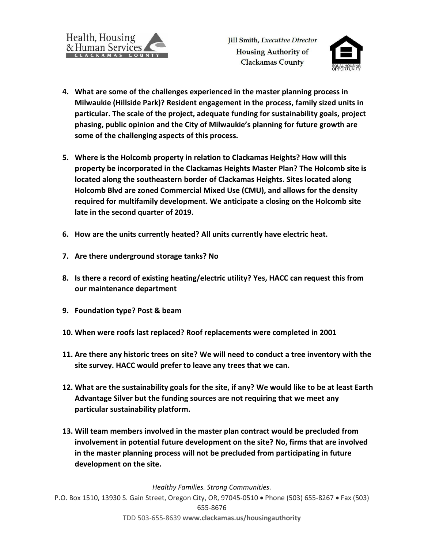

- **4. What are some of the challenges experienced in the master planning process in Milwaukie (Hillside Park)? Resident engagement in the process, family sized units in particular. The scale of the project, adequate funding for sustainability goals, project phasing, public opinion and the City of Milwaukie's planning for future growth are some of the challenging aspects of this process.**
- **5. Where is the Holcomb property in relation to Clackamas Heights? How will this property be incorporated in the Clackamas Heights Master Plan? The Holcomb site is located along the southeastern border of Clackamas Heights. Sites located along Holcomb Blvd are zoned Commercial Mixed Use (CMU), and allows for the density required for multifamily development. We anticipate a closing on the Holcomb site late in the second quarter of 2019.**
- **6. How are the units currently heated? All units currently have electric heat.**
- **7. Are there underground storage tanks? No**
- **8. Is there a record of existing heating/electric utility? Yes, HACC can request this from our maintenance department**
- **9. Foundation type? Post & beam**
- **10. When were roofs last replaced? Roof replacements were completed in 2001**
- **11. Are there any historic trees on site? We will need to conduct a tree inventory with the site survey. HACC would prefer to leave any trees that we can.**
- **12. What are the sustainability goals for the site, if any? We would like to be at least Earth Advantage Silver but the funding sources are not requiring that we meet any particular sustainability platform.**
- **13. Will team members involved in the master plan contract would be precluded from involvement in potential future development on the site? No, firms that are involved in the master planning process will not be precluded from participating in future development on the site.**

*Healthy Families. Strong Communities.*

P.O. Box 1510, 13930 S. Gain Street, Oregon City, OR, 97045-0510 Phone (503) 655-8267 Fax (503) 655-8676 TDD 503-655-8639 **www.clackamas.us/housingauthority**